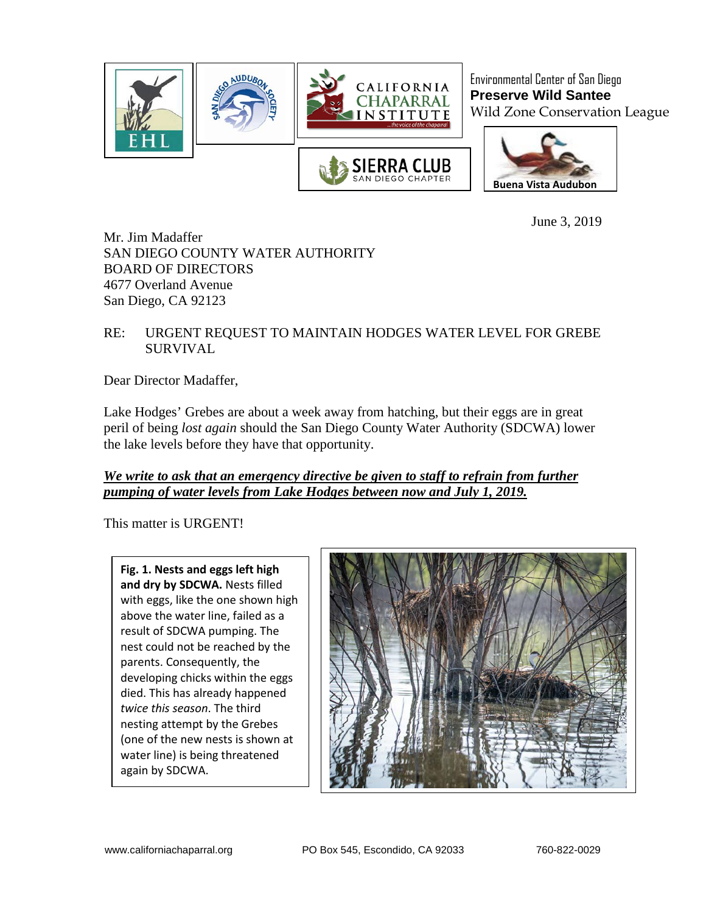

 Environmental Center of San Diego **Preserve Wild Santee** Wild Zone Conservation League



June 3, 2019

Mr. Jim Madaffer SAN DIEGO COUNTY WATER AUTHORITY BOARD OF DIRECTORS 4677 Overland Avenue San Diego, CA 92123

## RE: URGENT REQUEST TO MAINTAIN HODGES WATER LEVEL FOR GREBE SURVIVAL

Dear Director Madaffer,

Lake Hodges' Grebes are about a week away from hatching, but their eggs are in great peril of being *lost again* should the San Diego County Water Authority (SDCWA) lower the lake levels before they have that opportunity.

## *We write to ask that an emergency directive be given to staff to refrain from further pumping of water levels from Lake Hodges between now and July 1, 2019.*

This matter is URGENT!

**Fig. 1. Nests and eggs left high and dry by SDCWA.** Nests filled with eggs, like the one shown high above the water line, failed as a result of SDCWA pumping. The nest could not be reached by the parents. Consequently, the developing chicks within the eggs died. This has already happened *twice this season*. The third nesting attempt by the Grebes (one of the new nests is shown at water line) is being threatened again by SDCWA.

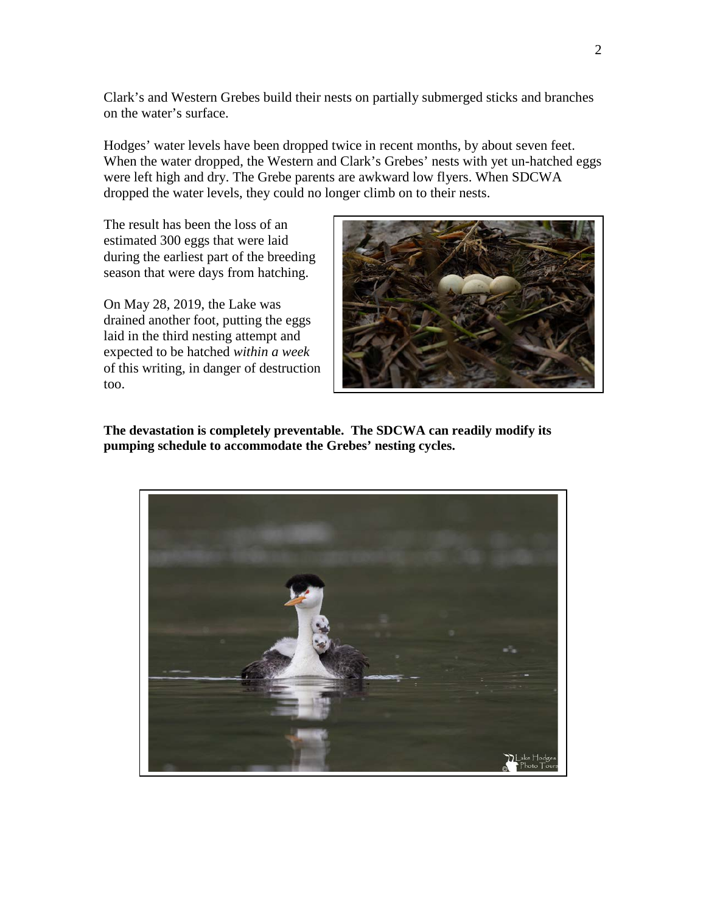Clark's and Western Grebes build their nests on partially submerged sticks and branches on the water's surface.

Hodges' water levels have been dropped twice in recent months, by about seven feet. When the water dropped, the Western and Clark's Grebes' nests with yet un-hatched eggs were left high and dry. The Grebe parents are awkward low flyers. When SDCWA dropped the water levels, they could no longer climb on to their nests.

The result has been the loss of an estimated 300 eggs that were laid during the earliest part of the breeding season that were days from hatching.

On May 28, 2019, the Lake was drained another foot, putting the eggs laid in the third nesting attempt and expected to be hatched *within a week* of this writing, in danger of destruction too.



**The devastation is completely preventable. The SDCWA can readily modify its pumping schedule to accommodate the Grebes' nesting cycles.**